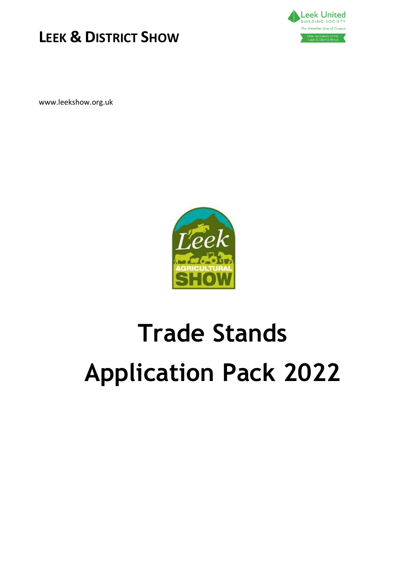



www.leekshow.org.uk



# **Trade Stands Application Pack 2022**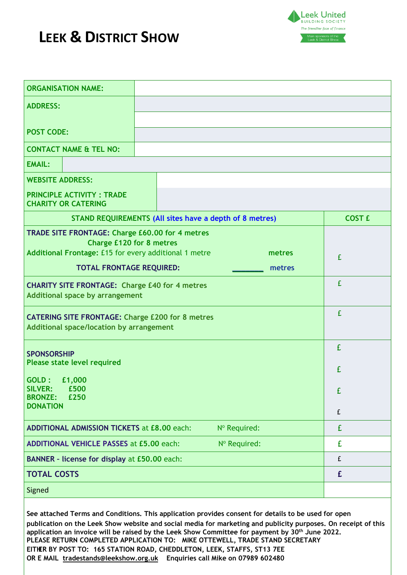

| <b>ADDRESS:</b><br><b>POST CODE:</b><br><b>CONTACT NAME &amp; TEL NO:</b><br><b>EMAIL:</b><br><b>WEBSITE ADDRESS:</b><br><b>PRINCIPLE ACTIVITY : TRADE</b><br><b>CHARITY OR CATERING</b><br><b>STAND REQUIREMENTS (All sites have a depth of 8 metres)</b><br><b>COST £</b><br>TRADE SITE FRONTAGE: Charge £60.00 for 4 metres<br><b>Charge £120 for 8 metres</b><br>Additional Frontage: £15 for every additional 1 metre<br>metres<br>£<br><b>TOTAL FRONTAGE REQUIRED:</b><br>metres<br>£<br><b>CHARITY SITE FRONTAGE: Charge £40 for 4 metres</b><br><b>Additional space by arrangement</b><br>£<br><b>CATERING SITE FRONTAGE: Charge £200 for 8 metres</b><br><b>Additional space/location by arrangement</b><br>£<br><b>SPONSORSHIP</b><br>Please state level required<br>£<br>GOLD:<br>£1,000<br><b>SILVER:</b><br>£500<br>£<br><b>BRONZE:</b><br>£250<br><b>DONATION</b><br>£<br><b>ADDITIONAL ADMISSION TICKETS at £8.00 each:</b><br>£<br>Nº Required:<br>£<br><b>ADDITIONAL VEHICLE PASSES at £5.00 each:</b><br>Nº Required:<br>BANNER - license for display at £50.00 each:<br>£<br><b>TOTAL COSTS</b><br>£<br>Signed | <b>ORGANISATION NAME:</b> |  |  |  |
|-----------------------------------------------------------------------------------------------------------------------------------------------------------------------------------------------------------------------------------------------------------------------------------------------------------------------------------------------------------------------------------------------------------------------------------------------------------------------------------------------------------------------------------------------------------------------------------------------------------------------------------------------------------------------------------------------------------------------------------------------------------------------------------------------------------------------------------------------------------------------------------------------------------------------------------------------------------------------------------------------------------------------------------------------------------------------------------------------------------------------------------|---------------------------|--|--|--|
|                                                                                                                                                                                                                                                                                                                                                                                                                                                                                                                                                                                                                                                                                                                                                                                                                                                                                                                                                                                                                                                                                                                                   |                           |  |  |  |
|                                                                                                                                                                                                                                                                                                                                                                                                                                                                                                                                                                                                                                                                                                                                                                                                                                                                                                                                                                                                                                                                                                                                   |                           |  |  |  |
|                                                                                                                                                                                                                                                                                                                                                                                                                                                                                                                                                                                                                                                                                                                                                                                                                                                                                                                                                                                                                                                                                                                                   |                           |  |  |  |
|                                                                                                                                                                                                                                                                                                                                                                                                                                                                                                                                                                                                                                                                                                                                                                                                                                                                                                                                                                                                                                                                                                                                   |                           |  |  |  |
|                                                                                                                                                                                                                                                                                                                                                                                                                                                                                                                                                                                                                                                                                                                                                                                                                                                                                                                                                                                                                                                                                                                                   |                           |  |  |  |
|                                                                                                                                                                                                                                                                                                                                                                                                                                                                                                                                                                                                                                                                                                                                                                                                                                                                                                                                                                                                                                                                                                                                   |                           |  |  |  |
|                                                                                                                                                                                                                                                                                                                                                                                                                                                                                                                                                                                                                                                                                                                                                                                                                                                                                                                                                                                                                                                                                                                                   |                           |  |  |  |
|                                                                                                                                                                                                                                                                                                                                                                                                                                                                                                                                                                                                                                                                                                                                                                                                                                                                                                                                                                                                                                                                                                                                   |                           |  |  |  |
|                                                                                                                                                                                                                                                                                                                                                                                                                                                                                                                                                                                                                                                                                                                                                                                                                                                                                                                                                                                                                                                                                                                                   |                           |  |  |  |
|                                                                                                                                                                                                                                                                                                                                                                                                                                                                                                                                                                                                                                                                                                                                                                                                                                                                                                                                                                                                                                                                                                                                   |                           |  |  |  |
|                                                                                                                                                                                                                                                                                                                                                                                                                                                                                                                                                                                                                                                                                                                                                                                                                                                                                                                                                                                                                                                                                                                                   |                           |  |  |  |
|                                                                                                                                                                                                                                                                                                                                                                                                                                                                                                                                                                                                                                                                                                                                                                                                                                                                                                                                                                                                                                                                                                                                   |                           |  |  |  |
|                                                                                                                                                                                                                                                                                                                                                                                                                                                                                                                                                                                                                                                                                                                                                                                                                                                                                                                                                                                                                                                                                                                                   |                           |  |  |  |
|                                                                                                                                                                                                                                                                                                                                                                                                                                                                                                                                                                                                                                                                                                                                                                                                                                                                                                                                                                                                                                                                                                                                   |                           |  |  |  |
|                                                                                                                                                                                                                                                                                                                                                                                                                                                                                                                                                                                                                                                                                                                                                                                                                                                                                                                                                                                                                                                                                                                                   |                           |  |  |  |
|                                                                                                                                                                                                                                                                                                                                                                                                                                                                                                                                                                                                                                                                                                                                                                                                                                                                                                                                                                                                                                                                                                                                   |                           |  |  |  |
|                                                                                                                                                                                                                                                                                                                                                                                                                                                                                                                                                                                                                                                                                                                                                                                                                                                                                                                                                                                                                                                                                                                                   |                           |  |  |  |
|                                                                                                                                                                                                                                                                                                                                                                                                                                                                                                                                                                                                                                                                                                                                                                                                                                                                                                                                                                                                                                                                                                                                   |                           |  |  |  |
|                                                                                                                                                                                                                                                                                                                                                                                                                                                                                                                                                                                                                                                                                                                                                                                                                                                                                                                                                                                                                                                                                                                                   |                           |  |  |  |
|                                                                                                                                                                                                                                                                                                                                                                                                                                                                                                                                                                                                                                                                                                                                                                                                                                                                                                                                                                                                                                                                                                                                   |                           |  |  |  |
|                                                                                                                                                                                                                                                                                                                                                                                                                                                                                                                                                                                                                                                                                                                                                                                                                                                                                                                                                                                                                                                                                                                                   |                           |  |  |  |
|                                                                                                                                                                                                                                                                                                                                                                                                                                                                                                                                                                                                                                                                                                                                                                                                                                                                                                                                                                                                                                                                                                                                   |                           |  |  |  |
|                                                                                                                                                                                                                                                                                                                                                                                                                                                                                                                                                                                                                                                                                                                                                                                                                                                                                                                                                                                                                                                                                                                                   |                           |  |  |  |
|                                                                                                                                                                                                                                                                                                                                                                                                                                                                                                                                                                                                                                                                                                                                                                                                                                                                                                                                                                                                                                                                                                                                   |                           |  |  |  |

**See attached Terms and Conditions. This application provides consent for details to be used for open publication on the Leek Show website and social media for marketing and publicity purposes. On receipt of this application an invoice will be raised by the Leek Show Committee for payment by 30th June 2022. PLEASE RETURN COMPLETED APPLICATION TO: MIKE OTTEWELL, TRADE STAND SECRETARY EITHER BY POST TO: 165 STATION ROAD, CHEDDLETON, LEEK, STAFFS, ST13 7EE OR E MAIL [tradestands@leekshow.org](mailto:tradestands@leekshow.org).uk Enquiries call Mike on 07989 602480**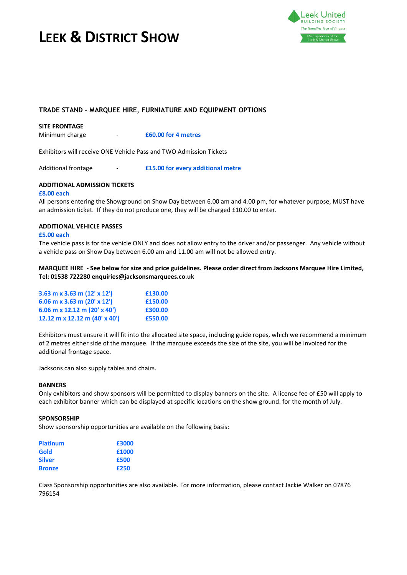



### **TRADE STAND – MARQUEE HIRE, FURNIATURE AND EQUIPMENT OPTIONS**

#### **SITE FRONTAGE**

Minimum charge - **£60.00 for 4 metres**

Exhibitors will receive ONE Vehicle Pass and TWO Admission Tickets

Additional frontage - **£15.00 for every additional metre**

### **ADDITIONAL ADMISSION TICKETS**

#### **£8.00 each**

All persons entering the Showground on Show Day between 6.00 am and 4.00 pm, for whatever purpose, MUST have an admission ticket. If they do not produce one, they will be charged £10.00 to enter.

### **ADDITIONAL VEHICLE PASSES**

### **£5.00 each**

The vehicle pass is for the vehicle ONLY and does not allow entry to the driver and/or passenger. Any vehicle without a vehicle pass on Show Day between 6.00 am and 11.00 am will not be allowed entry.

### MARQUEE HIRE - See below for size and price guidelines. Please order direct from Jacksons Marquee Hire Limited, **Tel: 01538 722280 enquiries@jacksonsmarquees.co.uk**

| 3.63 m x 3.63 m $(12' \times 12')$   | £130.00 |
|--------------------------------------|---------|
| 6.06 m x 3.63 m (20' x 12')          | £150.00 |
| $6.06$ m x 12.12 m (20' x 40')       | £300.00 |
| 12.12 m x 12.12 m $(40' \times 40')$ | £550.00 |

Exhibitors must ensure it will fit into the allocated site space, including guide ropes, which we recommend a minimum of 2 metres either side of the marquee. If the marquee exceeds the size of the site, you will be invoiced for the additional frontage space.

Jacksons can also supply tables and chairs.

#### **BANNERS**

Only exhibitors and show sponsors will be permitted to display banners on the site. A license fee of £50 will apply to each exhibitor banner which can be displayed at specific locations on the show ground. for the month of July.

#### **SPONSORSHIP**

Show sponsorship opportunities are available on the following basis:

| <b>Platinum</b> | £3000 |
|-----------------|-------|
| Gold            | £1000 |
| <b>Silver</b>   | £500  |
| <b>Bronze</b>   | £250  |

Class Sponsorship opportunities are also available. For more information, please contact Jackie Walker on 07876 796154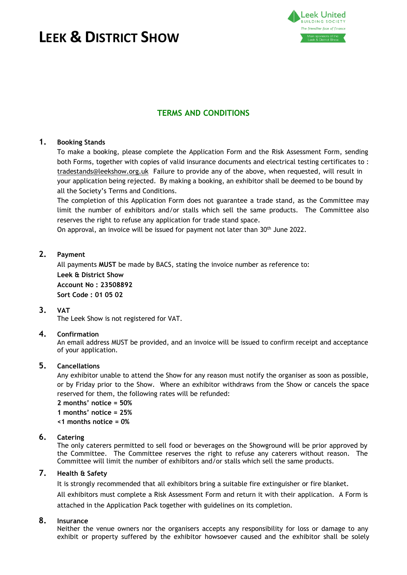

# **TERMS AND CONDITIONS**

### **1. Booking Stands**

To make a booking, please complete the Application Form and the Risk Assessment Form, sending [both Forms, together with](mailto:tradestands@leekshow.org) copies of valid insurance documents and electrical testing certificates to : tradestands@leekshow.org.uk Failure to provide any of the above, when requested, will result in your application being rejected. By making a booking, an exhibitor shall be deemed to be bound by all the Society's Terms and Conditions.

The completion of this Application Form does not guarantee a trade stand, as the Committee may limit the number of exhibitors and/or stalls which sell the same products. The Committee also reserves the right to refuse any application for trade stand space.

On approval, an invoice will be issued for payment not later than 30th June 2022.

### **2. Payment**

All payments **MUST** be made by BACS, stating the invoice number as reference to: **Leek & District Show Account No : 23508892 Sort Code : 01 05 02**

### **3. VAT**

The Leek Show is not registered for VAT.

### **4. Confirmation**

An email address MUST be provided, and an invoice will be issued to confirm receipt and acceptance of your application.

# **5. Cancellations**

Any exhibitor unable to attend the Show for any reason must notify the organiser as soon as possible, or by Friday prior to the Show. Where an exhibitor withdraws from the Show or cancels the space reserved for them, the following rates will be refunded:

**2 months' notice = 50% 1 months' notice = 25%**

**<1 months notice = 0%**

### **6. Catering**

The only caterers permitted to sell food or beverages on the Showground will be prior approved by the Committee. The Committee reserves the right to refuse any caterers without reason. The Committee will limit the number of exhibitors and/or stalls which sell the same products.

### **7. Health & Safety**

It is strongly recommended that all exhibitors bring a suitable fire extinguisher or fire blanket.

All exhibitors must complete a Risk Assessment Form and return it with their application. A Form is attached in the Application Pack together with guidelines on its completion.

# **8. Insurance**

Neither the venue owners nor the organisers accepts any responsibility for loss or damage to any exhibit or property suffered by the exhibitor howsoever caused and the exhibitor shall be solely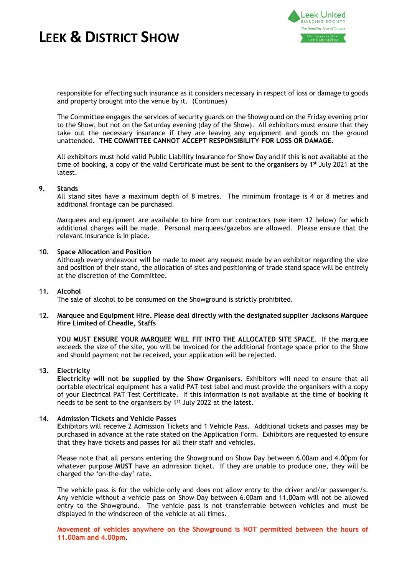

responsible for effecting such insurance as it considers necessary in respect of loss or damage to goods and property brought into the venue by it. (Continues)

The Committee engages the services of security guards on the Showground on the Friday evening prior to the Show, but not on the Saturday evening (day of the Show). All exhibitors must ensure that they take out the necessary insurance if they are leaving any equipment and goods on the ground unattended. **THE COMMITTEE CANNOT ACCEPT RESPONSIBILITY FOR LOSS OR DAMAGE.**

All exhibitors must hold valid Public Liability Insurance for Show Day and if this is not available at the time of booking, a copy of the valid Certificate must be sent to the organisers by 1<sup>st</sup> July 2021 at the latest.

### **9. Stands**

All stand sites have a maximum depth of 8 metres. The minimum frontage is 4 or 8 metres and additional frontage can be purchased.

Marquees and equipment are available to hire from our contractors (see item 12 below) for which additional charges will be made. Personal marquees/gazebos are allowed. Please ensure that the relevant insurance is in place.

### **10. Space Allocation and Position**

Although every endeavour will be made to meet any request made by an exhibitor regarding the size and position of their stand, the allocation of sites and positioning of trade stand space will be entirely at the discretion of the Committee.

#### **11. Alcohol**

The sale of alcohol to be consumed on the Showground is strictly prohibited.

### **12. Marquee and Equipment Hire. Please deal directly with the designated supplier Jacksons Marquee Hire Limited of Cheadle, Staffs**

**YOU MUST ENSURE YOUR MARQUEE WILL FIT INTO THE ALLOCATED SITE SPACE**. If the marquee exceeds the size of the site, you will be invoiced for the additional frontage space prior to the Show and should payment not be received, your application will be rejected.

#### **13. Electricity**

**Electricity will not be supplied by the Show Organisers.** Exhibitors will need to ensure that all portable electrical equipment has a valid PAT test label and must provide the organisers with a copy of your Electrical PAT Test Certificate. If this information is not available at the time of booking it needs to be sent to the organisers by 1<sup>st</sup> July 2022 at the latest.

#### **14. Admission Tickets and Vehicle Passes**

**E**xhibitors will receive 2 Admission Tickets and 1 Vehicle Pass. Additional tickets and passes may be purchased in advance at the rate stated on the Application Form. Exhibitors are requested to ensure that they have tickets and passes for all their staff and vehicles.

Please note that all persons entering the Showground on Show Day between 6.00am and 4.00pm for whatever purpose **MUST** have an admission ticket. If they are unable to produce one, they will be charged the 'on-the-day' rate.

The vehicle pass is for the vehicle only and does not allow entry to the driver and/or passenger/s. Any vehicle without a vehicle pass on Show Day between 6.00am and 11.00am will not be allowed entry to the Showground. The vehicle pass is not transferrable between vehicles and must be displayed in the windscreen of the vehicle at all times.

**Movement of vehicles anywhere on the Showground is NOT permitted between the hours of 11.00am and 4.00pm**.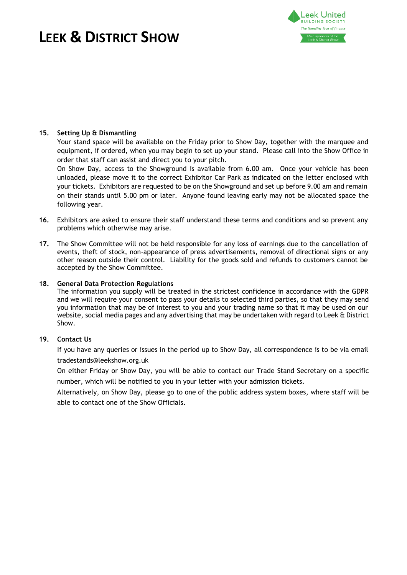

### **15. Setting Up & Dismantling**

Your stand space will be available on the Friday prior to Show Day, together with the marquee and equipment, if ordered, when you may begin to set up your stand. Please call into the Show Office in order that staff can assist and direct you to your pitch.

On Show Day, access to the Showground is available from 6.00 am. Once your vehicle has been unloaded, please move it to the correct Exhibitor Car Park as indicated on the letter enclosed with your tickets. Exhibitors are requested to be on the Showground and set up before 9.00 am and remain on their stands until 5.00 pm or later. Anyone found leaving early may not be allocated space the following year.

- **16.** Exhibitors are asked to ensure their staff understand these terms and conditions and so prevent any problems which otherwise may arise.
- **17.** The Show Committee will not be held responsible for any loss of earnings due to the cancellation of events, theft of stock, non-appearance of press advertisements, removal of directional signs or any other reason outside their control. Liability for the goods sold and refunds to customers cannot be accepted by the Show Committee.

### **18. General Data Protection Regulations**

The information you supply will be treated in the strictest confidence in accordance with the GDPR and we will require your consent to pass your details to selected third parties, so that they may send you information that may be of interest to you and your trading name so that it may be used on our website, social media pages and any advertising that may be undertaken with regard to Leek & District Show.

### **19. Contact Us**

If [you have any queries or](mailto:tradestands@leekshow.org) issues in the period up to Show Day, all correspondence is to be via email tradestands@leekshow.org.uk

On either Friday or Show Day, you will be able to contact our Trade Stand Secretary on a specific number, which will be notified to you in your letter with your admission tickets.

Alternatively, on Show Day, please go to one of the public address system boxes, where staff will be able to contact one of the Show Officials.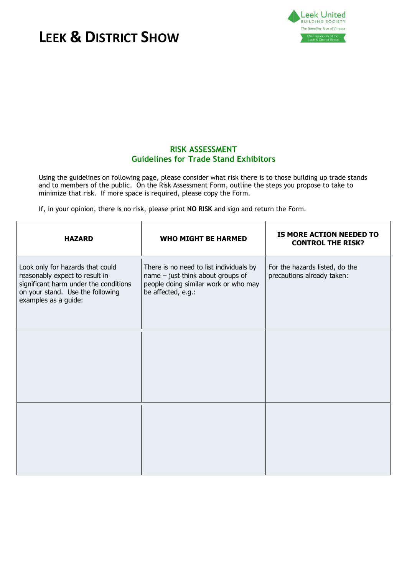

# **RISK ASSESSMENT Guidelines for Trade Stand Exhibitors**

Using the guidelines on following page, please consider what risk there is to those building up trade stands and to members of the public. On the Risk Assessment Form, outline the steps you propose to take to minimize that risk. If more space is required, please copy the Form.

If, in your opinion, there is no risk, please print **NO RISK** and sign and return the Form.

| <b>HAZARD</b>                                                                                                                                                           | <b>WHO MIGHT BE HARMED</b>                                                                                                                   | IS MORE ACTION NEEDED TO<br><b>CONTROL THE RISK?</b>         |
|-------------------------------------------------------------------------------------------------------------------------------------------------------------------------|----------------------------------------------------------------------------------------------------------------------------------------------|--------------------------------------------------------------|
| Look only for hazards that could<br>reasonably expect to result in<br>significant harm under the conditions<br>on your stand. Use the following<br>examples as a guide: | There is no need to list individuals by<br>name $-$ just think about groups of<br>people doing similar work or who may<br>be affected, e.g.: | For the hazards listed, do the<br>precautions already taken: |
|                                                                                                                                                                         |                                                                                                                                              |                                                              |
|                                                                                                                                                                         |                                                                                                                                              |                                                              |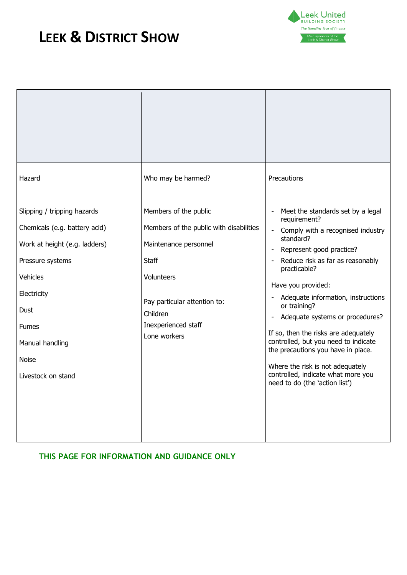

| Hazard                                                                                                                                                                                                                        | Who may be harmed?                                                                                                                                                                                         | Precautions                                                                                                                                                                                                                                                                                                                                                                                                                                                                                                                                                                             |
|-------------------------------------------------------------------------------------------------------------------------------------------------------------------------------------------------------------------------------|------------------------------------------------------------------------------------------------------------------------------------------------------------------------------------------------------------|-----------------------------------------------------------------------------------------------------------------------------------------------------------------------------------------------------------------------------------------------------------------------------------------------------------------------------------------------------------------------------------------------------------------------------------------------------------------------------------------------------------------------------------------------------------------------------------------|
| Slipping / tripping hazards<br>Chemicals (e.g. battery acid)<br>Work at height (e.g. ladders)<br>Pressure systems<br>Vehicles<br>Electricity<br>Dust<br><b>Fumes</b><br>Manual handling<br><b>Noise</b><br>Livestock on stand | Members of the public<br>Members of the public with disabilities<br>Maintenance personnel<br><b>Staff</b><br>Volunteers<br>Pay particular attention to:<br>Children<br>Inexperienced staff<br>Lone workers | Meet the standards set by a legal<br>requirement?<br>Comply with a recognised industry<br>standard?<br>Represent good practice?<br>$\overline{\phantom{a}}$<br>Reduce risk as far as reasonably<br>$\blacksquare$<br>practicable?<br>Have you provided:<br>Adequate information, instructions<br>or training?<br>Adequate systems or procedures?<br>-<br>If so, then the risks are adequately<br>controlled, but you need to indicate<br>the precautions you have in place.<br>Where the risk is not adequately<br>controlled, indicate what more you<br>need to do (the 'action list') |

# **THIS PAGE FOR INFORMATION AND GUIDANCE ONLY**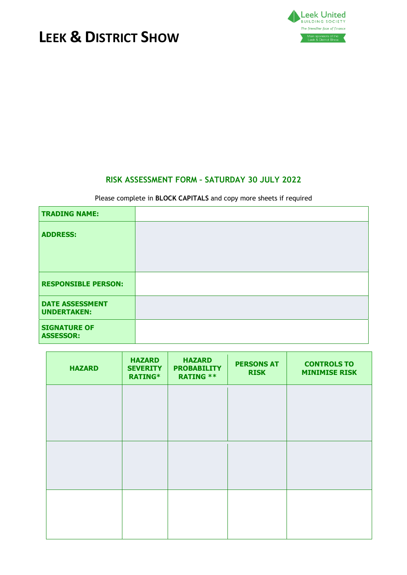



# **RISK ASSESSMENT FORM – SATURDAY 30 JULY 2022**

### Please complete in **BLOCK CAPITALS** and copy more sheets if required

| <b>TRADING NAME:</b>                         |  |
|----------------------------------------------|--|
| <b>ADDRESS:</b>                              |  |
| <b>RESPONSIBLE PERSON:</b>                   |  |
| <b>DATE ASSESSMENT</b><br><b>UNDERTAKEN:</b> |  |
| <b>SIGNATURE OF</b><br><b>ASSESSOR:</b>      |  |

| <b>HAZARD</b> | <b>HAZARD</b><br><b>SEVERITY</b><br><b>RATING*</b> | <b>HAZARD</b><br><b>PROBABILITY</b><br><b>RATING **</b> | <b>PERSONS AT</b><br><b>RISK</b> | <b>CONTROLS TO</b><br><b>MINIMISE RISK</b> |
|---------------|----------------------------------------------------|---------------------------------------------------------|----------------------------------|--------------------------------------------|
|               |                                                    |                                                         |                                  |                                            |
|               |                                                    |                                                         |                                  |                                            |
|               |                                                    |                                                         |                                  |                                            |
|               |                                                    |                                                         |                                  |                                            |
|               |                                                    |                                                         |                                  |                                            |
|               |                                                    |                                                         |                                  |                                            |